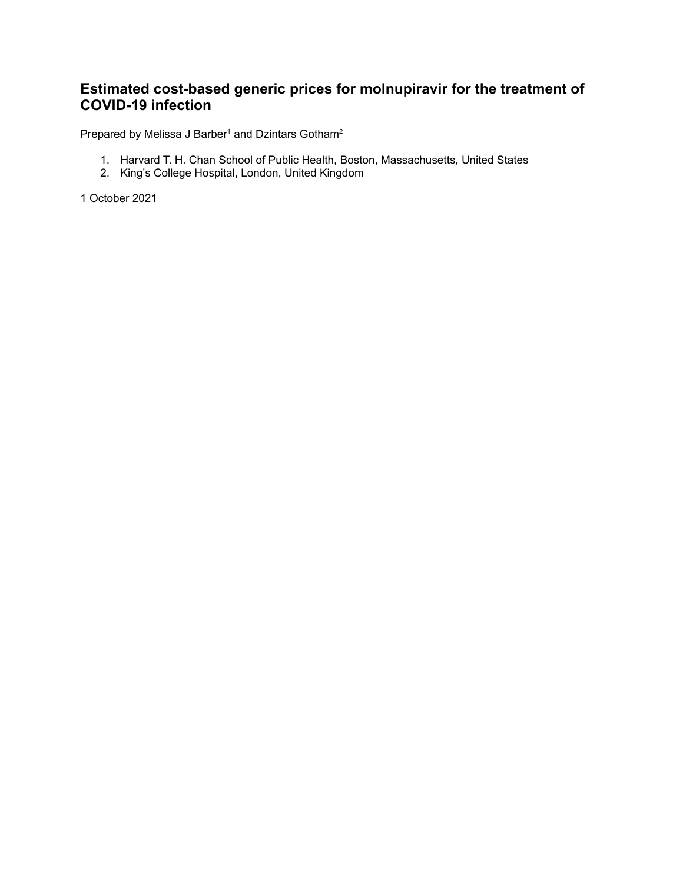## **Estimated cost-based generic prices for molnupiravir for the treatment of COVID-19 infection**

Prepared by Melissa J Barber<sup>1</sup> and Dzintars Gotham<sup>2</sup>

- 1. Harvard T. H. Chan School of Public Health, Boston, Massachusetts, United States
- 2. King's College Hospital, London, United Kingdom

1 October 2021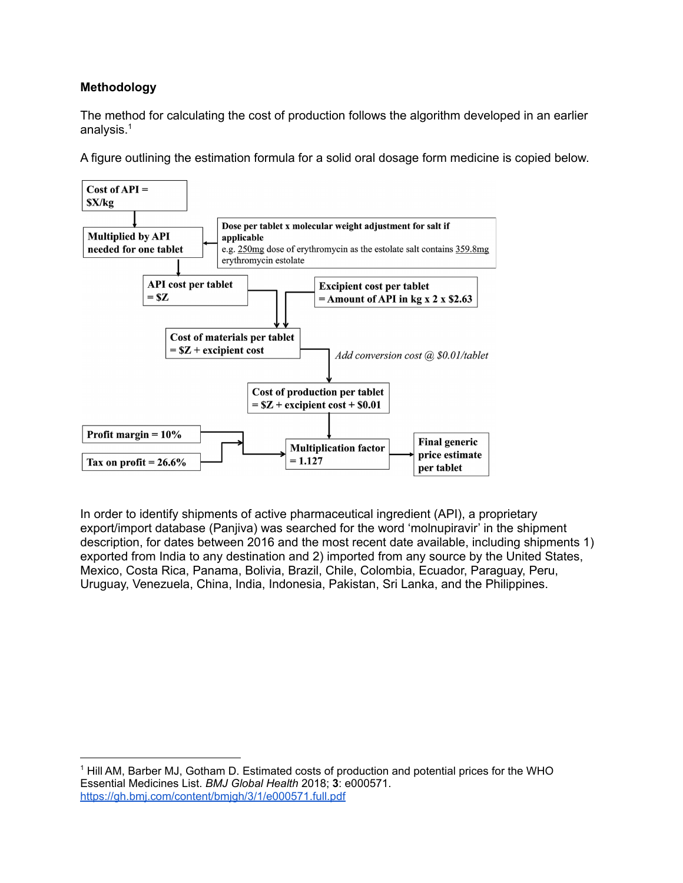## **Methodology**

The method for calculating the cost of production follows the algorithm developed in an earlier analysis. 1

A figure outlining the estimation formula for a solid oral dosage form medicine is copied below.



In order to identify shipments of active pharmaceutical ingredient (API), a proprietary export/import database (Panjiva) was searched for the word 'molnupiravir' in the shipment description, for dates between 2016 and the most recent date available, including shipments 1) exported from India to any destination and 2) imported from any source by the United States, Mexico, Costa Rica, Panama, Bolivia, Brazil, Chile, Colombia, Ecuador, Paraguay, Peru, Uruguay, Venezuela, China, India, Indonesia, Pakistan, Sri Lanka, and the Philippines.

<sup>1</sup> Hill AM, Barber MJ, Gotham D. Estimated costs of production and potential prices for the WHO Essential Medicines List. *BMJ Global Health* 2018; **3**: e000571. <https://gh.bmj.com/content/bmjgh/3/1/e000571.full.pdf>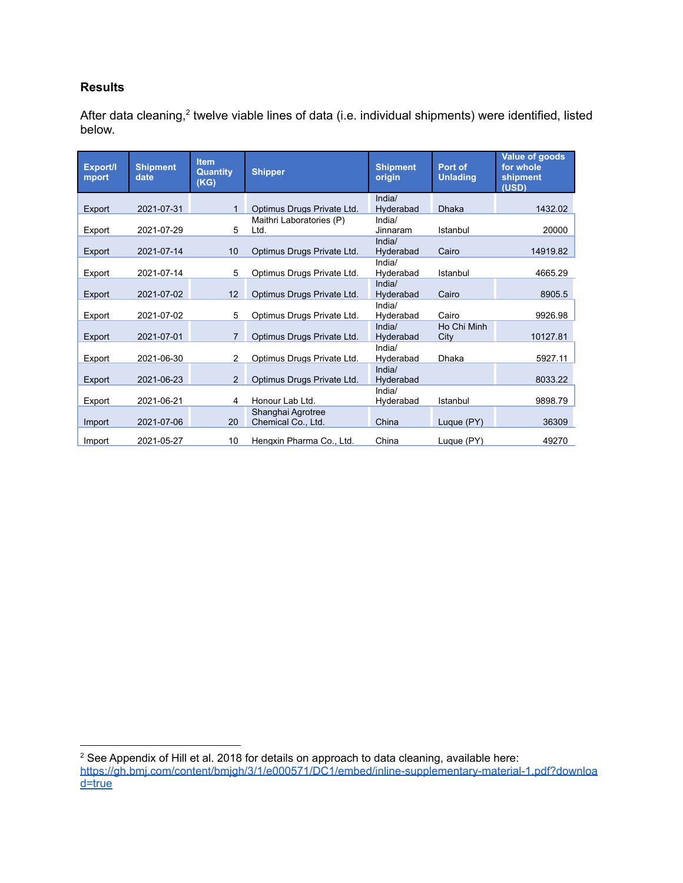## **Results**

After data cleaning,<sup>2</sup> twelve viable lines of data (i.e. individual shipments) were identified, listed below.

| Export/I<br>mport | <b>Shipment</b><br>date | <b>Item</b><br><b>Quantity</b><br>(KG) | <b>Shipper</b>             | <b>Shipment</b><br>origin | Port of<br><b>Unlading</b> | Value of goods<br>for whole<br>shipment<br>(USD) |
|-------------------|-------------------------|----------------------------------------|----------------------------|---------------------------|----------------------------|--------------------------------------------------|
| Export            | 2021-07-31              | $\mathbf{1}$                           | Optimus Drugs Private Ltd. | India/<br>Hyderabad       | <b>Dhaka</b>               | 1432.02                                          |
|                   |                         |                                        | Maithri Laboratories (P)   | India/                    |                            |                                                  |
| Export            | 2021-07-29              | 5                                      | Ltd.                       | Jinnaram                  | Istanbul                   | 20000                                            |
|                   |                         |                                        |                            | India/                    |                            |                                                  |
| Export            | 2021-07-14              | 10 <sup>1</sup>                        | Optimus Drugs Private Ltd. | Hyderabad                 | Cairo                      | 14919.82                                         |
|                   |                         |                                        |                            | India/                    |                            |                                                  |
| Export            | 2021-07-14              | 5                                      | Optimus Drugs Private Ltd. | Hyderabad                 | Istanbul                   | 4665.29                                          |
| Export            | 2021-07-02              | 12 <sup>2</sup>                        | Optimus Drugs Private Ltd. | India/<br>Hyderabad       | Cairo                      | 8905.5                                           |
|                   |                         |                                        |                            | India/                    |                            |                                                  |
| Export            | 2021-07-02              | 5                                      | Optimus Drugs Private Ltd. | Hyderabad                 | Cairo                      | 9926.98                                          |
|                   |                         |                                        |                            | India/                    | Ho Chi Minh                |                                                  |
| Export            | 2021-07-01              | 7                                      | Optimus Drugs Private Ltd. | Hyderabad                 | City                       | 10127.81                                         |
|                   |                         |                                        |                            | India/                    |                            |                                                  |
| Export            | 2021-06-30              | $\overline{2}$                         | Optimus Drugs Private Ltd. | Hyderabad                 | Dhaka                      | 5927.11                                          |
|                   | 2021-06-23              | $\overline{2}$                         |                            | India/                    |                            | 8033.22                                          |
| Export            |                         |                                        | Optimus Drugs Private Ltd. | Hyderabad<br>India/       |                            |                                                  |
| Export            | 2021-06-21              | 4                                      | Honour Lab Ltd.            | Hyderabad                 | Istanbul                   | 9898.79                                          |
|                   |                         |                                        | Shanghai Agrotree          |                           |                            |                                                  |
| Import            | 2021-07-06              | 20                                     | Chemical Co., Ltd.         | China                     | Luque (PY)                 | 36309                                            |
| Import            | 2021-05-27              | 10                                     | Hengxin Pharma Co., Ltd.   | China                     | Lugue (PY)                 | 49270                                            |
|                   |                         |                                        |                            |                           |                            |                                                  |

<sup>&</sup>lt;sup>2</sup> See Appendix of Hill et al. 2018 for details on approach to data cleaning, available here: [https://gh.bmj.com/content/bmjgh/3/1/e000571/DC1/embed/inline-supplementary-material-1.pdf?downloa](https://gh.bmj.com/content/bmjgh/3/1/e000571/DC1/embed/inline-supplementary-material-1.pdf?download=true) [d=true](https://gh.bmj.com/content/bmjgh/3/1/e000571/DC1/embed/inline-supplementary-material-1.pdf?download=true)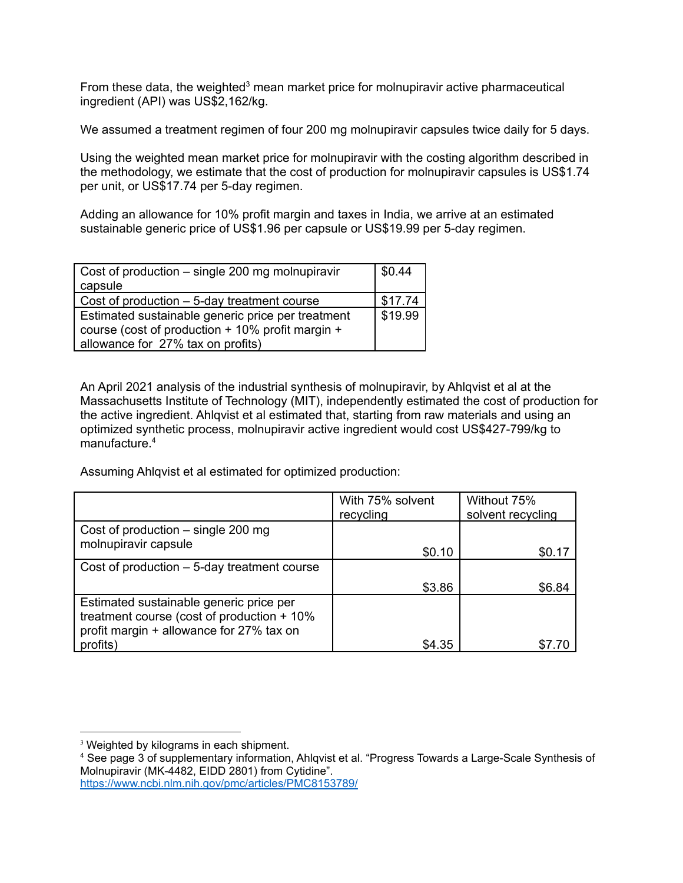From these data, the weighted<sup>3</sup> mean market price for molnupiravir active pharmaceutical ingredient (API) was US\$2,162/kg.

We assumed a treatment regimen of four 200 mg molnupiravir capsules twice daily for 5 days.

Using the weighted mean market price for molnupiravir with the costing algorithm described in the methodology, we estimate that the cost of production for molnupiravir capsules is US\$1.74 per unit, or US\$17.74 per 5-day regimen.

Adding an allowance for 10% profit margin and taxes in India, we arrive at an estimated sustainable generic price of US\$1.96 per capsule or US\$19.99 per 5-day regimen.

| Cost of production – single 200 mg molnupiravir                                                       |         |  |  |
|-------------------------------------------------------------------------------------------------------|---------|--|--|
| capsule                                                                                               |         |  |  |
| Cost of production $-5$ -day treatment course                                                         | \$17.74 |  |  |
| Estimated sustainable generic price per treatment<br>course (cost of production + 10% profit margin + |         |  |  |
| allowance for 27% tax on profits)                                                                     |         |  |  |

An April 2021 analysis of the industrial synthesis of molnupiravir, by Ahlqvist et al at the Massachusetts Institute of Technology (MIT), independently estimated the cost of production for the active ingredient. Ahlqvist et al estimated that, starting from raw materials and using an optimized synthetic process, molnupiravir active ingredient would cost US\$427-799/kg to manufacture. 4

Assuming Ahlqvist et al estimated for optimized production:

|                                                                                         | With 75% solvent<br>recycling | Without 75%<br>solvent recycling |
|-----------------------------------------------------------------------------------------|-------------------------------|----------------------------------|
| Cost of production $-$ single 200 mg                                                    |                               |                                  |
| molnupiravir capsule                                                                    | \$0.10                        | \$0.17                           |
| Cost of production $-5$ -day treatment course                                           |                               |                                  |
|                                                                                         | \$3.86                        | \$6.84                           |
| Estimated sustainable generic price per<br>treatment course (cost of production $+10\%$ |                               |                                  |
| profit margin + allowance for 27% tax on<br>profits)                                    | \$4.35                        |                                  |

<https://www.ncbi.nlm.nih.gov/pmc/articles/PMC8153789/>

<sup>&</sup>lt;sup>3</sup> Weighted by kilograms in each shipment.

<sup>4</sup> See page 3 of supplementary information, Ahlqvist et al. "Progress Towards a Large-Scale Synthesis of Molnupiravir (MK-4482, EIDD 2801) from Cytidine".